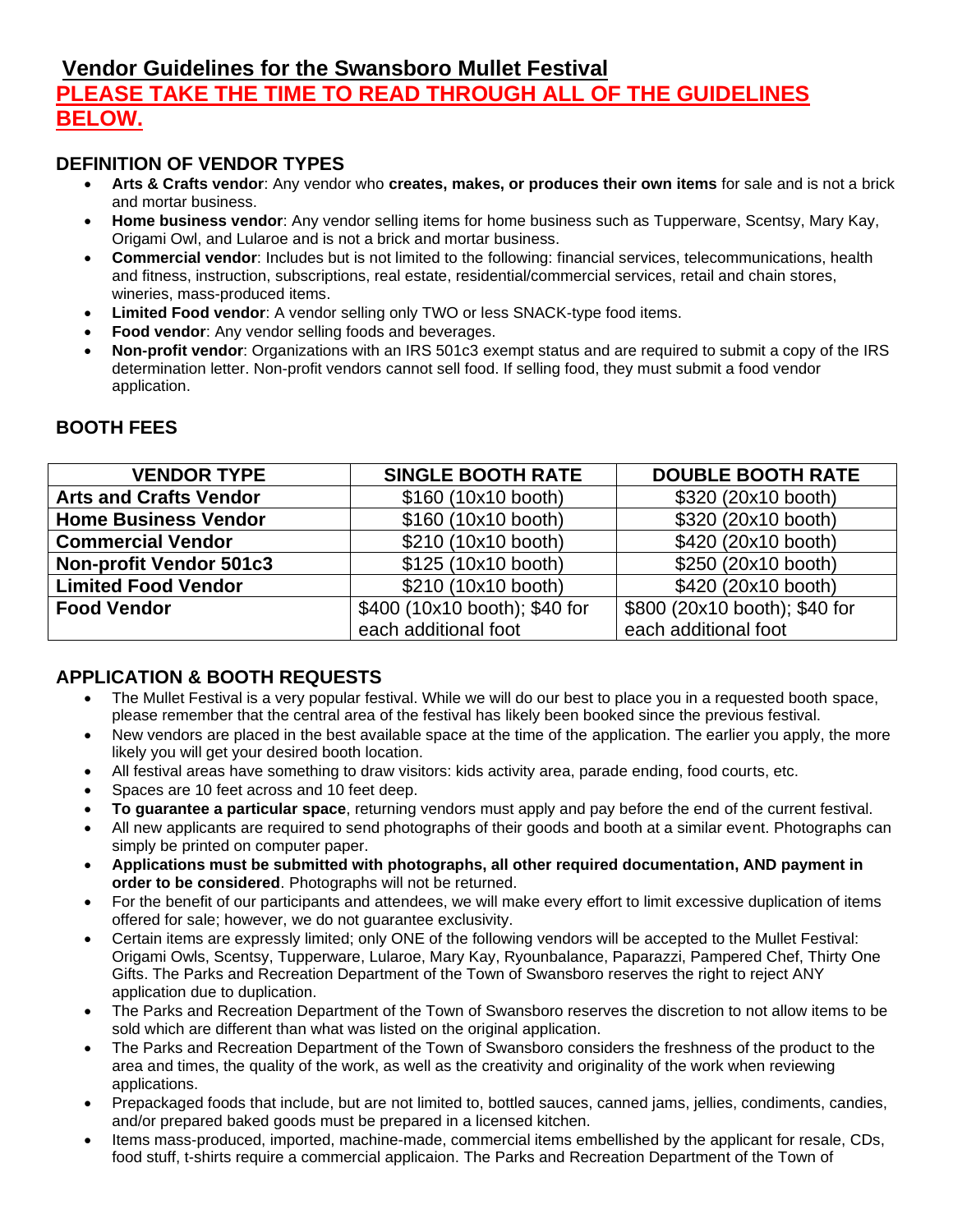# **Vendor Guidelines for the Swansboro Mullet Festival**

# **PLEASE TAKE THE TIME TO READ THROUGH ALL OF THE GUIDELINES BELOW.**

#### **DEFINITION OF VENDOR TYPES**

- **Arts & Crafts vendor**: Any vendor who **creates, makes, or produces their own items** for sale and is not a brick and mortar business.
- **Home business vendor**: Any vendor selling items for home business such as Tupperware, Scentsy, Mary Kay, Origami Owl, and Lularoe and is not a brick and mortar business.
- **Commercial vendor**: Includes but is not limited to the following: financial services, telecommunications, health and fitness, instruction, subscriptions, real estate, residential/commercial services, retail and chain stores, wineries, mass-produced items.
- **Limited Food vendor**: A vendor selling only TWO or less SNACK-type food items.
- **Food vendor:** Any vendor selling foods and beverages.
- **Non-profit vendor**: Organizations with an IRS 501c3 exempt status and are required to submit a copy of the IRS determination letter. Non-profit vendors cannot sell food. If selling food, they must submit a food vendor application.

| <b>VENDOR TYPE</b>             | <b>SINGLE BOOTH RATE</b>      | <b>DOUBLE BOOTH RATE</b>      |
|--------------------------------|-------------------------------|-------------------------------|
| <b>Arts and Crafts Vendor</b>  | \$160 (10x10 booth)           | \$320 (20x10 booth)           |
| <b>Home Business Vendor</b>    | \$160 (10x10 booth)           | \$320 (20x10 booth)           |
| <b>Commercial Vendor</b>       | \$210 (10x10 booth)           | \$420 (20x10 booth)           |
| <b>Non-profit Vendor 501c3</b> | \$125 (10x10 booth)           | \$250 (20x10 booth)           |
| <b>Limited Food Vendor</b>     | \$210 (10x10 booth)           | \$420 (20x10 booth)           |
| <b>Food Vendor</b>             | \$400 (10x10 booth); \$40 for | \$800 (20x10 booth); \$40 for |
|                                | each additional foot          | each additional foot          |

# **BOOTH FEES**

# **APPLICATION & BOOTH REQUESTS**

- The Mullet Festival is a very popular festival. While we will do our best to place you in a requested booth space, please remember that the central area of the festival has likely been booked since the previous festival.
- New vendors are placed in the best available space at the time of the application. The earlier you apply, the more likely you will get your desired booth location.
- All festival areas have something to draw visitors: kids activity area, parade ending, food courts, etc.
- Spaces are 10 feet across and 10 feet deep.
- **To guarantee a particular space**, returning vendors must apply and pay before the end of the current festival.
- All new applicants are required to send photographs of their goods and booth at a similar event. Photographs can simply be printed on computer paper.
- **Applications must be submitted with photographs, all other required documentation, AND payment in order to be considered**. Photographs will not be returned.
- For the benefit of our participants and attendees, we will make every effort to limit excessive duplication of items offered for sale; however, we do not guarantee exclusivity.
- Certain items are expressly limited; only ONE of the following vendors will be accepted to the Mullet Festival: Origami Owls, Scentsy, Tupperware, Lularoe, Mary Kay, Ryounbalance, Paparazzi, Pampered Chef, Thirty One Gifts. The Parks and Recreation Department of the Town of Swansboro reserves the right to reject ANY application due to duplication.
- The Parks and Recreation Department of the Town of Swansboro reserves the discretion to not allow items to be sold which are different than what was listed on the original application.
- The Parks and Recreation Department of the Town of Swansboro considers the freshness of the product to the area and times, the quality of the work, as well as the creativity and originality of the work when reviewing applications.
- Prepackaged foods that include, but are not limited to, bottled sauces, canned jams, jellies, condiments, candies, and/or prepared baked goods must be prepared in a licensed kitchen.
- Items mass-produced, imported, machine-made, commercial items embellished by the applicant for resale, CDs, food stuff, t-shirts require a commercial applicaion. The Parks and Recreation Department of the Town of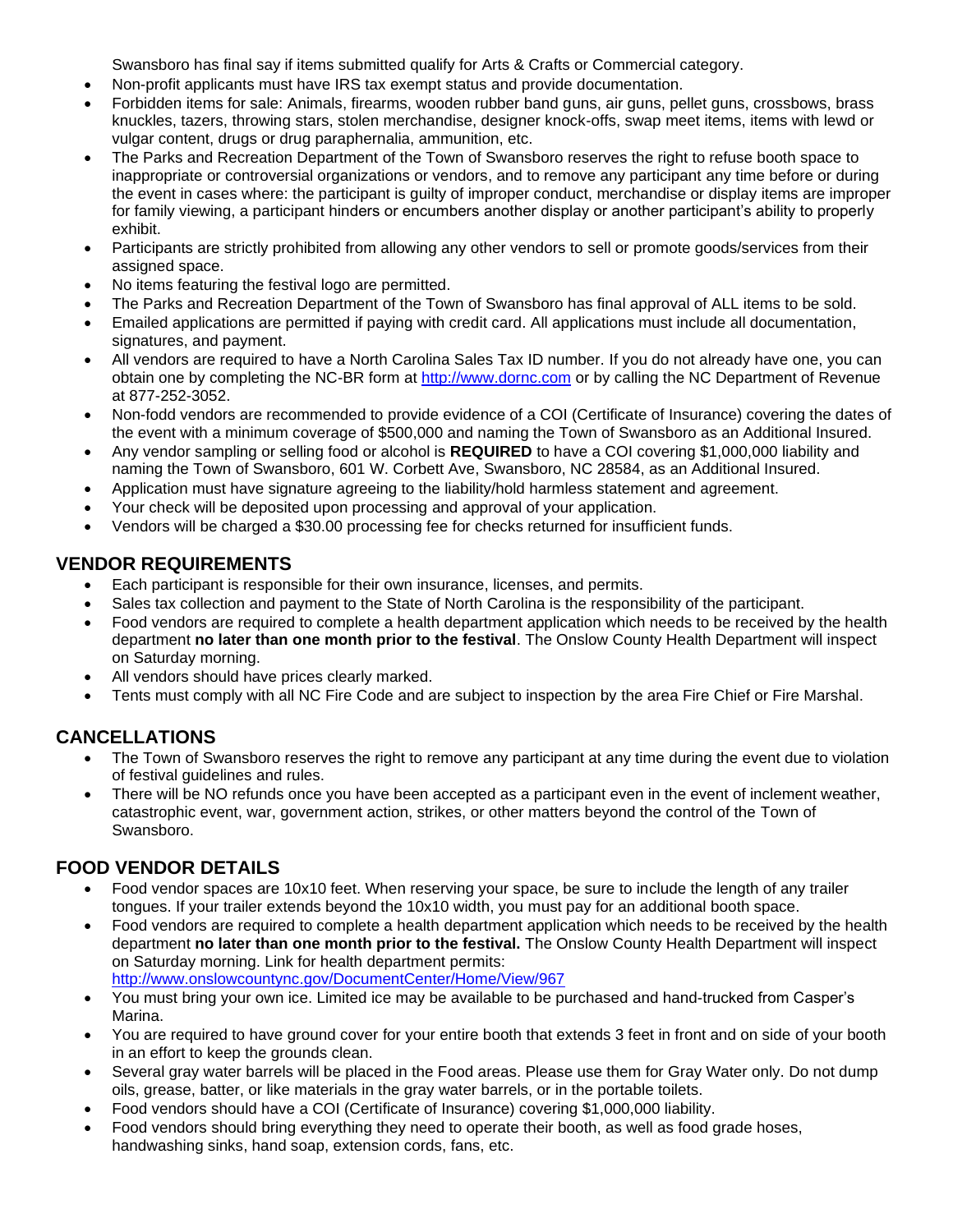Swansboro has final say if items submitted qualify for Arts & Crafts or Commercial category.

- Non-profit applicants must have IRS tax exempt status and provide documentation.
- Forbidden items for sale: Animals, firearms, wooden rubber band guns, air guns, pellet guns, crossbows, brass knuckles, tazers, throwing stars, stolen merchandise, designer knock-offs, swap meet items, items with lewd or vulgar content, drugs or drug paraphernalia, ammunition, etc.
- The Parks and Recreation Department of the Town of Swansboro reserves the right to refuse booth space to inappropriate or controversial organizations or vendors, and to remove any participant any time before or during the event in cases where: the participant is guilty of improper conduct, merchandise or display items are improper for family viewing, a participant hinders or encumbers another display or another participant's ability to properly exhibit.
- Participants are strictly prohibited from allowing any other vendors to sell or promote goods/services from their assigned space.
- No items featuring the festival logo are permitted.
- The Parks and Recreation Department of the Town of Swansboro has final approval of ALL items to be sold.
- Emailed applications are permitted if paying with credit card. All applications must include all documentation, signatures, and payment.
- All vendors are required to have a North Carolina Sales Tax ID number. If you do not already have one, you can obtain one by completing the NC-BR form at [http://www.dornc.com](http://www.dornc.com/) or by calling the NC Department of Revenue at 877-252-3052.
- Non-fodd vendors are recommended to provide evidence of a COI (Certificate of Insurance) covering the dates of the event with a minimum coverage of \$500,000 and naming the Town of Swansboro as an Additional Insured.
- Any vendor sampling or selling food or alcohol is **REQUIRED** to have a COI covering \$1,000,000 liability and naming the Town of Swansboro, 601 W. Corbett Ave, Swansboro, NC 28584, as an Additional Insured.
- Application must have signature agreeing to the liability/hold harmless statement and agreement.
- Your check will be deposited upon processing and approval of your application.
- Vendors will be charged a \$30.00 processing fee for checks returned for insufficient funds.

### **VENDOR REQUIREMENTS**

- Each participant is responsible for their own insurance, licenses, and permits.
- Sales tax collection and payment to the State of North Carolina is the responsibility of the participant.
- Food vendors are required to complete a health department application which needs to be received by the health department **no later than one month prior to the festival**. The Onslow County Health Department will inspect on Saturday morning.
- All vendors should have prices clearly marked.
- Tents must comply with all NC Fire Code and are subject to inspection by the area Fire Chief or Fire Marshal.

# **CANCELLATIONS**

- The Town of Swansboro reserves the right to remove any participant at any time during the event due to violation of festival guidelines and rules.
- There will be NO refunds once you have been accepted as a participant even in the event of inclement weather, catastrophic event, war, government action, strikes, or other matters beyond the control of the Town of Swansboro.

# **FOOD VENDOR DETAILS**

- Food vendor spaces are 10x10 feet. When reserving your space, be sure to include the length of any trailer tongues. If your trailer extends beyond the 10x10 width, you must pay for an additional booth space.
- Food vendors are required to complete a health department application which needs to be received by the health department **no later than one month prior to the festival.** The Onslow County Health Department will inspect on Saturday morning. Link for health department permits: <http://www.onslowcountync.gov/DocumentCenter/Home/View/967>
- You must bring your own ice. Limited ice may be available to be purchased and hand-trucked from Casper's Marina.
- You are required to have ground cover for your entire booth that extends 3 feet in front and on side of your booth in an effort to keep the grounds clean.
- Several gray water barrels will be placed in the Food areas. Please use them for Gray Water only. Do not dump oils, grease, batter, or like materials in the gray water barrels, or in the portable toilets.
- Food vendors should have a COI (Certificate of Insurance) covering \$1,000,000 liability.
- Food vendors should bring everything they need to operate their booth, as well as food grade hoses, handwashing sinks, hand soap, extension cords, fans, etc.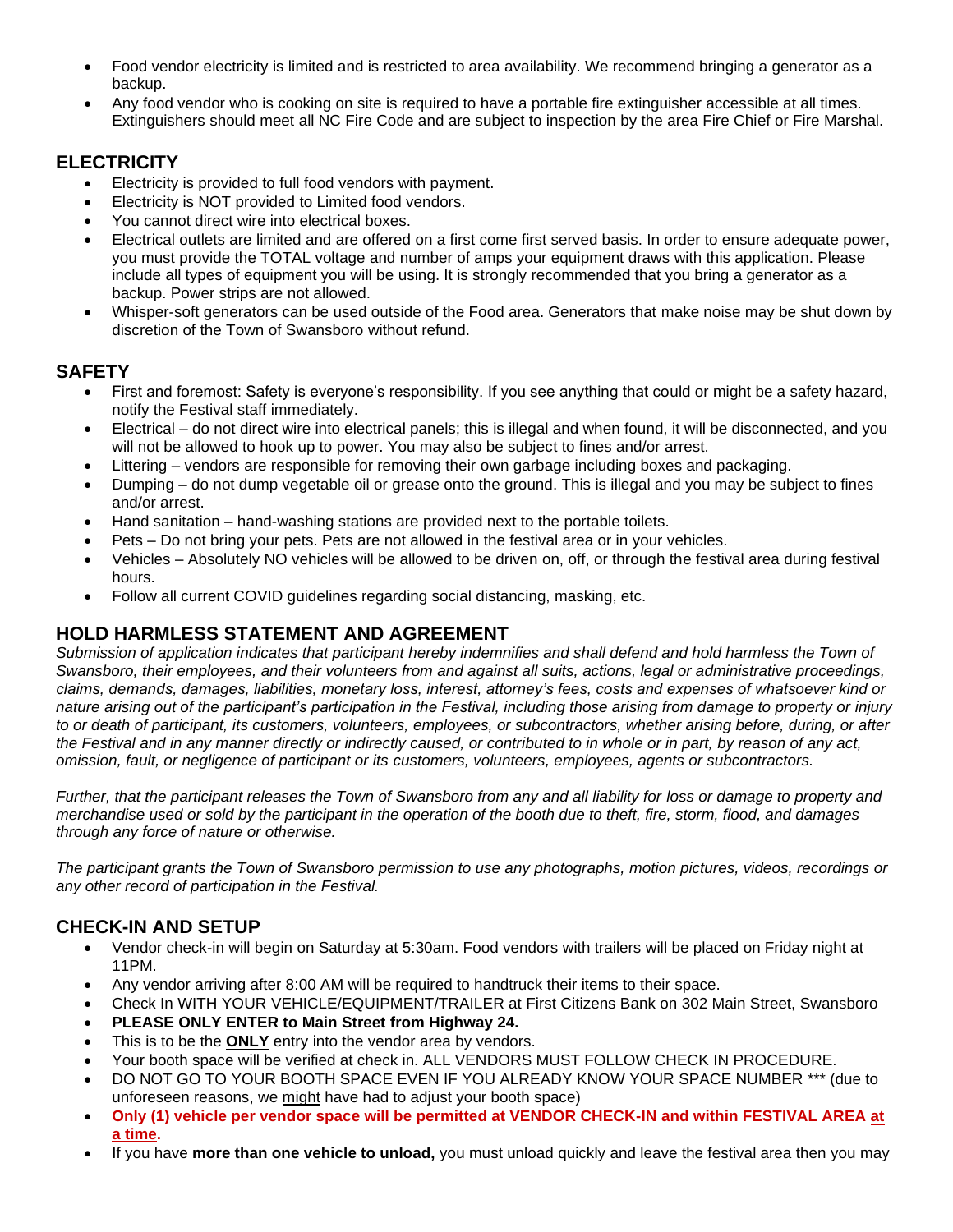- Food vendor electricity is limited and is restricted to area availability. We recommend bringing a generator as a backup.
- Any food vendor who is cooking on site is required to have a portable fire extinguisher accessible at all times. Extinguishers should meet all NC Fire Code and are subject to inspection by the area Fire Chief or Fire Marshal.

# **ELECTRICITY**

- Electricity is provided to full food vendors with payment.
- Electricity is NOT provided to Limited food vendors.
- You cannot direct wire into electrical boxes.
- Electrical outlets are limited and are offered on a first come first served basis. In order to ensure adequate power, you must provide the TOTAL voltage and number of amps your equipment draws with this application. Please include all types of equipment you will be using. It is strongly recommended that you bring a generator as a backup. Power strips are not allowed.
- Whisper-soft generators can be used outside of the Food area. Generators that make noise may be shut down by discretion of the Town of Swansboro without refund.

### **SAFETY**

- First and foremost: Safety is everyone's responsibility. If you see anything that could or might be a safety hazard, notify the Festival staff immediately.
- Electrical do not direct wire into electrical panels; this is illegal and when found, it will be disconnected, and you will not be allowed to hook up to power. You may also be subject to fines and/or arrest.
- Littering vendors are responsible for removing their own garbage including boxes and packaging.
- Dumping do not dump vegetable oil or grease onto the ground. This is illegal and you may be subject to fines and/or arrest.
- Hand sanitation hand-washing stations are provided next to the portable toilets.
- Pets Do not bring your pets. Pets are not allowed in the festival area or in your vehicles.
- Vehicles Absolutely NO vehicles will be allowed to be driven on, off, or through the festival area during festival hours.
- Follow all current COVID guidelines regarding social distancing, masking, etc.

# **HOLD HARMLESS STATEMENT AND AGREEMENT**

*Submission of application indicates that participant hereby indemnifies and shall defend and hold harmless the Town of Swansboro, their employees, and their volunteers from and against all suits, actions, legal or administrative proceedings, claims, demands, damages, liabilities, monetary loss, interest, attorney's fees, costs and expenses of whatsoever kind or nature arising out of the participant's participation in the Festival, including those arising from damage to property or injury to or death of participant, its customers, volunteers, employees, or subcontractors, whether arising before, during, or after the Festival and in any manner directly or indirectly caused, or contributed to in whole or in part, by reason of any act, omission, fault, or negligence of participant or its customers, volunteers, employees, agents or subcontractors.*

Further, that the participant releases the Town of Swansboro from any and all liability for loss or damage to property and *merchandise used or sold by the participant in the operation of the booth due to theft, fire, storm, flood, and damages through any force of nature or otherwise.*

*The participant grants the Town of Swansboro permission to use any photographs, motion pictures, videos, recordings or any other record of participation in the Festival.*

#### **CHECK-IN AND SETUP**

- Vendor check-in will begin on Saturday at 5:30am. Food vendors with trailers will be placed on Friday night at 11PM.
- Any vendor arriving after 8:00 AM will be required to handtruck their items to their space.
- Check In WITH YOUR VEHICLE/EQUIPMENT/TRAILER at First Citizens Bank on 302 Main Street, Swansboro
- **PLEASE ONLY ENTER to Main Street from Highway 24.**
- This is to be the **ONLY** entry into the vendor area by vendors.
- Your booth space will be verified at check in. ALL VENDORS MUST FOLLOW CHECK IN PROCEDURE.
- DO NOT GO TO YOUR BOOTH SPACE EVEN IF YOU ALREADY KNOW YOUR SPACE NUMBER \*\*\* (due to unforeseen reasons, we might have had to adjust your booth space)
- **Only (1) vehicle per vendor space will be permitted at VENDOR CHECK-IN and within FESTIVAL AREA at a time.**
- If you have **more than one vehicle to unload,** you must unload quickly and leave the festival area then you may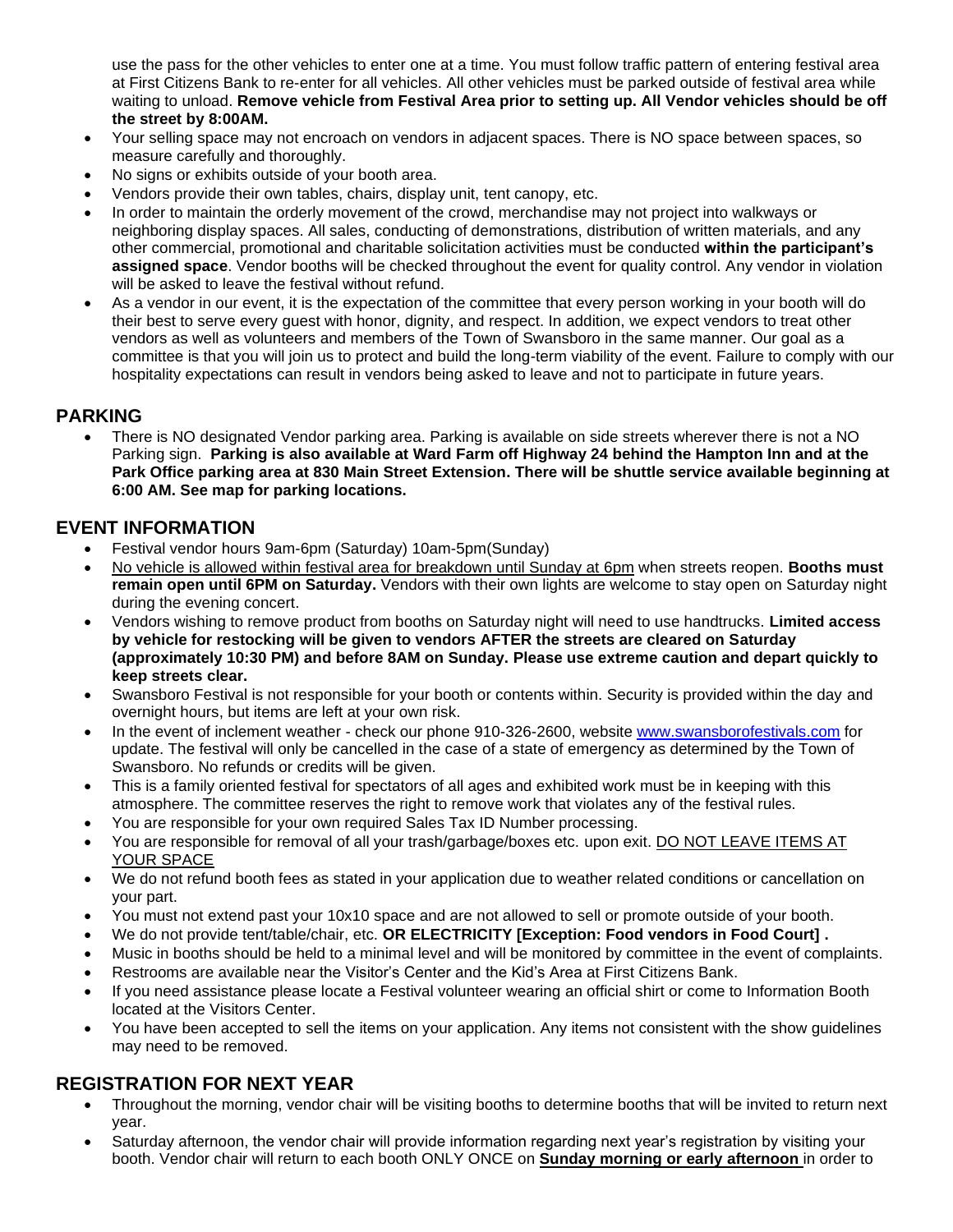use the pass for the other vehicles to enter one at a time. You must follow traffic pattern of entering festival area at First Citizens Bank to re-enter for all vehicles. All other vehicles must be parked outside of festival area while waiting to unload. **Remove vehicle from Festival Area prior to setting up. All Vendor vehicles should be off the street by 8:00AM.**

- Your selling space may not encroach on vendors in adjacent spaces. There is NO space between spaces, so measure carefully and thoroughly.
- No signs or exhibits outside of your booth area.
- Vendors provide their own tables, chairs, display unit, tent canopy, etc.
- In order to maintain the orderly movement of the crowd, merchandise may not project into walkways or neighboring display spaces. All sales, conducting of demonstrations, distribution of written materials, and any other commercial, promotional and charitable solicitation activities must be conducted **within the participant's assigned space**. Vendor booths will be checked throughout the event for quality control. Any vendor in violation will be asked to leave the festival without refund.
- As a vendor in our event, it is the expectation of the committee that every person working in your booth will do their best to serve every guest with honor, dignity, and respect. In addition, we expect vendors to treat other vendors as well as volunteers and members of the Town of Swansboro in the same manner. Our goal as a committee is that you will join us to protect and build the long-term viability of the event. Failure to comply with our hospitality expectations can result in vendors being asked to leave and not to participate in future years.

#### **PARKING**

• There is NO designated Vendor parking area. Parking is available on side streets wherever there is not a NO Parking sign. **Parking is also available at Ward Farm off Highway 24 behind the Hampton Inn and at the Park Office parking area at 830 Main Street Extension. There will be shuttle service available beginning at 6:00 AM. See map for parking locations.**

#### **EVENT INFORMATION**

- Festival vendor hours 9am-6pm (Saturday) 10am-5pm(Sunday)
- No vehicle is allowed within festival area for breakdown until Sunday at 6pm when streets reopen. **Booths must remain open until 6PM on Saturday.** Vendors with their own lights are welcome to stay open on Saturday night during the evening concert.
- Vendors wishing to remove product from booths on Saturday night will need to use handtrucks. **Limited access by vehicle for restocking will be given to vendors AFTER the streets are cleared on Saturday (approximately 10:30 PM) and before 8AM on Sunday. Please use extreme caution and depart quickly to keep streets clear.**
- Swansboro Festival is not responsible for your booth or contents within. Security is provided within the day and overnight hours, but items are left at your own risk.
- In the event of inclement weather check our phone 910-326-2600, website [www.swansborofestivals.com](http://www.swansborofestivals.com/) for update. The festival will only be cancelled in the case of a state of emergency as determined by the Town of Swansboro. No refunds or credits will be given.
- This is a family oriented festival for spectators of all ages and exhibited work must be in keeping with this atmosphere. The committee reserves the right to remove work that violates any of the festival rules.
- You are responsible for your own required Sales Tax ID Number processing.
- You are responsible for removal of all your trash/garbage/boxes etc. upon exit. DO NOT LEAVE ITEMS AT YOUR SPACE
- We do not refund booth fees as stated in your application due to weather related conditions or cancellation on your part.
- You must not extend past your 10x10 space and are not allowed to sell or promote outside of your booth.
- We do not provide tent/table/chair, etc. **OR ELECTRICITY [Exception: Food vendors in Food Court] .**
- Music in booths should be held to a minimal level and will be monitored by committee in the event of complaints.
- Restrooms are available near the Visitor's Center and the Kid's Area at First Citizens Bank.
- If you need assistance please locate a Festival volunteer wearing an official shirt or come to Information Booth located at the Visitors Center.
- You have been accepted to sell the items on your application. Any items not consistent with the show guidelines may need to be removed.

# **REGISTRATION FOR NEXT YEAR**

- Throughout the morning, vendor chair will be visiting booths to determine booths that will be invited to return next year.
- Saturday afternoon, the vendor chair will provide information regarding next year's registration by visiting your booth. Vendor chair will return to each booth ONLY ONCE on **Sunday morning or early afternoon** in order to